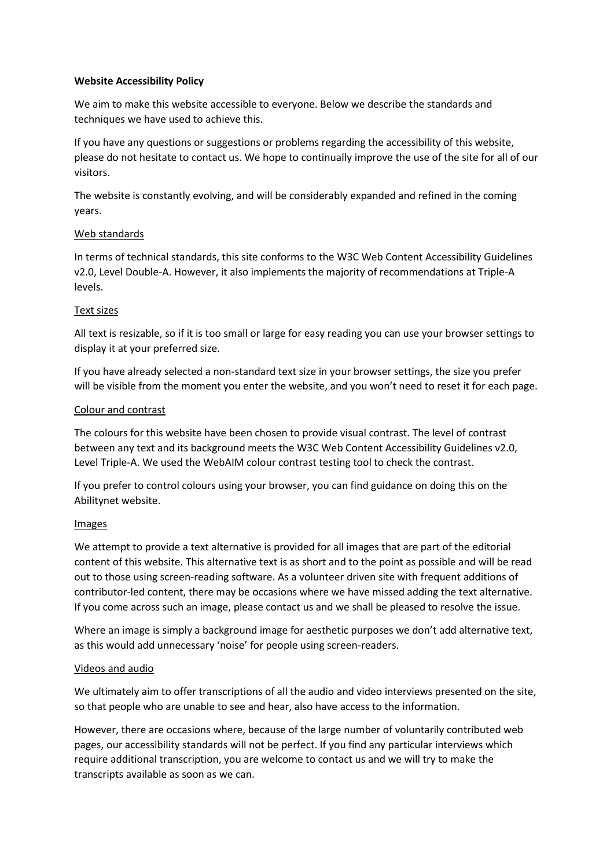# **Website Accessibility Policy**

We aim to make this website accessible to everyone. Below we describe the standards and techniques we have used to achieve this.

If you have any questions or suggestions or problems regarding the accessibility of this website, please do not hesitate to contact us. We hope to continually improve the use of the site for all of our visitors.

The website is constantly evolving, and will be considerably expanded and refined in the coming years.

# Web standards

In terms of technical standards, this site conforms to the W3C Web Content Accessibility Guidelines v2.0, Level Double-A. However, it also implements the majority of recommendations at Triple-A levels.

# Text sizes

All text is resizable, so if it is too small or large for easy reading you can use your browser settings to display it at your preferred size.

If you have already selected a non-standard text size in your browser settings, the size you prefer will be visible from the moment you enter the website, and you won't need to reset it for each page.

# Colour and contrast

The colours for this website have been chosen to provide visual contrast. The level of contrast between any text and its background meets the W3C Web Content Accessibility Guidelines v2.0, Level Triple-A. We used the WebAIM colour contrast testing tool to check the contrast.

If you prefer to control colours using your browser, you can find guidance on doing this on the Abilitynet website.

## Images

We attempt to provide a text alternative is provided for all images that are part of the editorial content of this website. This alternative text is as short and to the point as possible and will be read out to those using screen-reading software. As a volunteer driven site with frequent additions of contributor-led content, there may be occasions where we have missed adding the text alternative. If you come across such an image, please contact us and we shall be pleased to resolve the issue.

Where an image is simply a background image for aesthetic purposes we don't add alternative text, as this would add unnecessary 'noise' for people using screen-readers.

## Videos and audio

We ultimately aim to offer transcriptions of all the audio and video interviews presented on the site, so that people who are unable to see and hear, also have access to the information.

However, there are occasions where, because of the large number of voluntarily contributed web pages, our accessibility standards will not be perfect. If you find any particular interviews which require additional transcription, you are welcome to contact us and we will try to make the transcripts available as soon as we can.